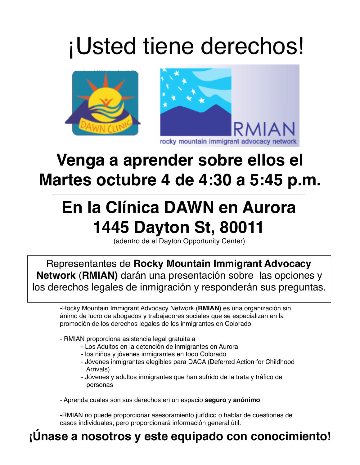## ¡Usted tiene derechos!



### **Venga a aprender sobre ellos el Martes octubre 4 de 4:30 a 5:45 p.m.**

### **En la Clínica DAWN en Aurora 1445 Dayton St, 80011**

(adentro de el Dayton Opportunity Center)

Representantes de **Rocky Mountain Immigrant Advocacy Network** (**RMIAN)** darán una presentación sobre las opciones y los derechos legales de inmigración y responderán sus preguntas.

-Rocky Mountain Immigrant Advocacy Network (**RMIAN)** es una organización sin ánimo de lucro de abogados y trabajadores sociales que se especializan en la promoción de los derechos legales de los inmigrantes en Colorado.

- RMIAN proporciona asistencia legal gratuita a

- Los Adultos en la detención de inmigrantes en Aurora
- los niños y jóvenes inmigrantes en todo Colorado
- Jóvenes inmigrantes elegibles para DACA (Deferred Action for Childhood Arrivals)
- Jóvenes y adultos inmigrantes que han sufrido de la trata y tráfico de personas

- Aprenda cuales son sus derechos en un espacio **seguro** y **anónimo**

-RMIAN no puede proporcionar asesoramiento jurídico o hablar de cuestiones de casos individuales, pero proporcionará información general útil.

#### **¡Únase a nosotros y este equipado con conocimiento!**